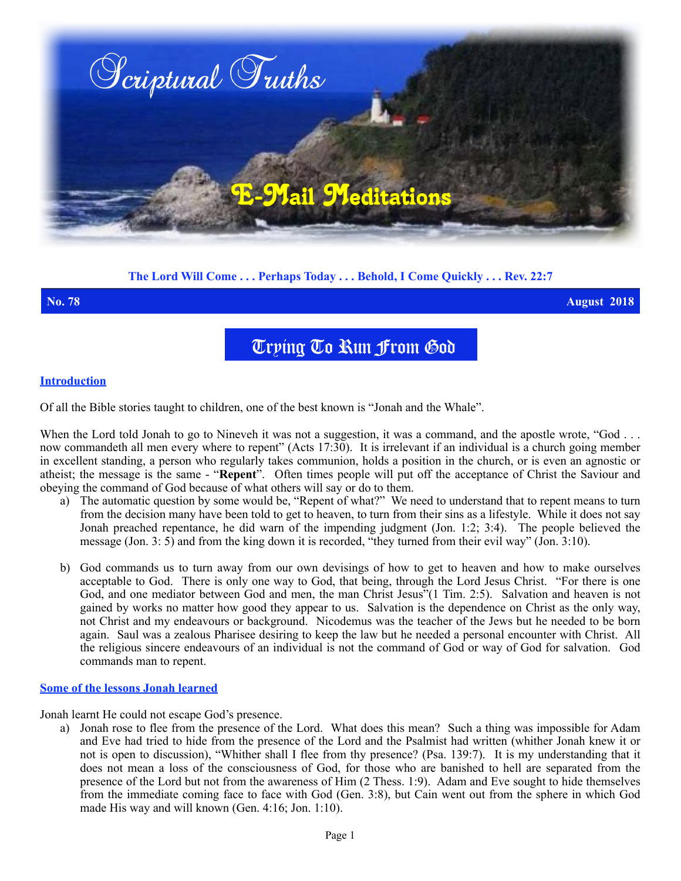

# **The Lord Will Come . . . Perhaps Today . . . Behold, I Come Quickly . . . Rev. 22:7**

**No. 78 August 2018**

Trying To Run From God

## **Introduction**

Of all the Bible stories taught to children, one of the best known is "Jonah and the Whale".

When the Lord told Jonah to go to Nineveh it was not a suggestion, it was a command, and the apostle wrote, "God ... now commandeth all men every where to repent" (Acts 17:30). It is irrelevant if an individual is a church going member in excellent standing, a person who regularly takes communion, holds a position in the church, or is even an agnostic or atheist; the message is the same - "**Repent**". Often times people will put off the acceptance of Christ the Saviour and obeying the command of God because of what others will say or do to them.

- a) The automatic question by some would be, "Repent of what?" We need to understand that to repent means to turn from the decision many have been told to get to heaven, to turn from their sins as a lifestyle. While it does not say Jonah preached repentance, he did warn of the impending judgment (Jon. 1:2; 3:4). The people believed the message (Jon. 3: 5) and from the king down it is recorded, "they turned from their evil way" (Jon. 3:10).
- b) God commands us to turn away from our own devisings of how to get to heaven and how to make ourselves acceptable to God. There is only one way to God, that being, through the Lord Jesus Christ. "For there is one God, and one mediator between God and men, the man Christ Jesus"(1 Tim. 2:5). Salvation and heaven is not gained by works no matter how good they appear to us. Salvation is the dependence on Christ as the only way, not Christ and my endeavours or background. Nicodemus was the teacher of the Jews but he needed to be born again. Saul was a zealous Pharisee desiring to keep the law but he needed a personal encounter with Christ. All the religious sincere endeavours of an individual is not the command of God or way of God for salvation. God commands man to repent.

### **Some of the lessons Jonah learned**

Jonah learnt He could not escape God's presence.

a) Jonah rose to flee from the presence of the Lord. What does this mean?Such a thing was impossible for Adam and Eve had tried to hide from the presence of the Lord and the Psalmist had written (whither Jonah knew it or not is open to discussion), "Whither shall I flee from thy presence? (Psa. 139:7). It is my understanding that it does not mean a loss of the consciousness of God, for those who are banished to hell are separated from the presence of the Lord but not from the awareness of Him (2 Thess. 1:9). Adam and Eve sought to hide themselves from the immediate coming face to face with God (Gen. 3:8), but Cain went out from the sphere in which God made His way and will known (Gen. 4:16; Jon. 1:10).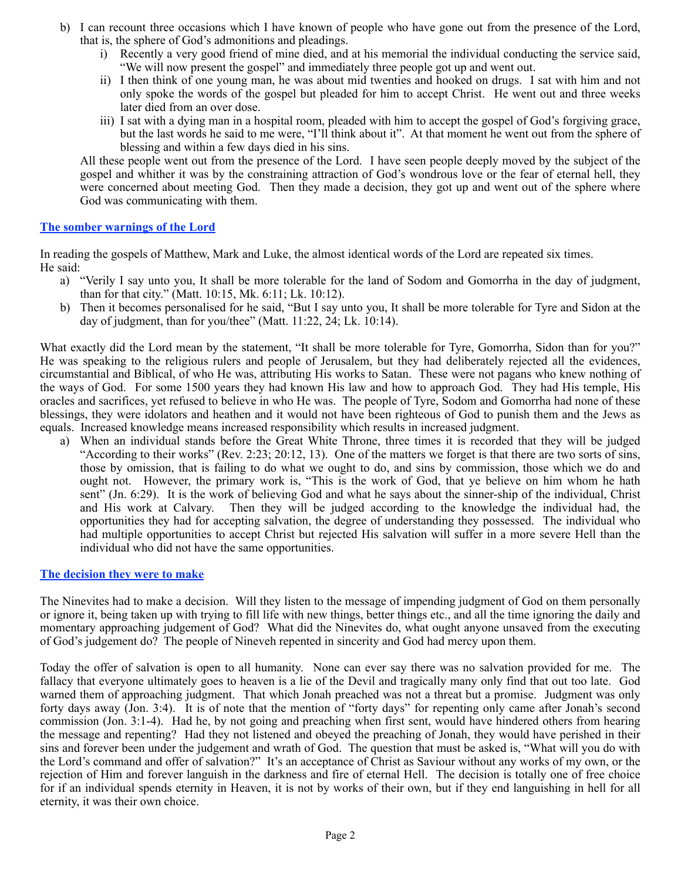- b) I can recount three occasions which I have known of people who have gone out from the presence of the Lord, that is, the sphere of God's admonitions and pleadings.
	- i) Recently a very good friend of mine died, and at his memorial the individual conducting the service said, "We will now present the gospel" and immediately three people got up and went out.
	- ii) I then think of one young man, he was about mid twenties and hooked on drugs. I sat with him and not only spoke the words of the gospel but pleaded for him to accept Christ. He went out and three weeks later died from an over dose.
	- iii) I sat with a dying man in a hospital room, pleaded with him to accept the gospel of God's forgiving grace, but the last words he said to me were, "I'll think about it". At that moment he went out from the sphere of blessing and within a few days died in his sins.

All these people went out from the presence of the Lord. I have seen people deeply moved by the subject of the gospel and whither it was by the constraining attraction of God's wondrous love or the fear of eternal hell, they were concerned about meeting God. Then they made a decision, they got up and went out of the sphere where God was communicating with them.

# **The somber warnings of the Lord**

In reading the gospels of Matthew, Mark and Luke, the almost identical words of the Lord are repeated six times. He said:

- a) "Verily I say unto you, It shall be more tolerable for the land of Sodom and Gomorrha in the day of judgment, than for that city." (Matt. 10:15, Mk. 6:11; Lk. 10:12).
- b) Then it becomes personalised for he said, "But I say unto you, It shall be more tolerable for Tyre and Sidon at the day of judgment, than for you/thee" (Matt. 11:22, 24; Lk. 10:14).

What exactly did the Lord mean by the statement, "It shall be more tolerable for Tyre, Gomorrha, Sidon than for you?" He was speaking to the religious rulers and people of Jerusalem, but they had deliberately rejected all the evidences, circumstantial and Biblical, of who He was, attributing His works to Satan. These were not pagans who knew nothing of the ways of God. For some 1500 years they had known His law and how to approach God. They had His temple, His oracles and sacrifices, yet refused to believe in who He was. The people of Tyre, Sodom and Gomorrha had none of these blessings, they were idolators and heathen and it would not have been righteous of God to punish them and the Jews as equals. Increased knowledge means increased responsibility which results in increased judgment.

a) When an individual stands before the Great White Throne, three times it is recorded that they will be judged "According to their works" (Rev. 2:23; 20:12, 13). One of the matters we forget is that there are two sorts of sins, those by omission, that is failing to do what we ought to do, and sins by commission, those which we do and ought not. However, the primary work is, "This is the work of God, that ye believe on him whom he hath sent" (Jn. 6:29). It is the work of believing God and what he says about the sinner-ship of the individual, Christ and His work at Calvary. Then they will be judged according to the knowledge the individual had, the opportunities they had for accepting salvation, the degree of understanding they possessed. The individual who had multiple opportunities to accept Christ but rejected His salvation will suffer in a more severe Hell than the individual who did not have the same opportunities.

# **The decision they were to make**

The Ninevites had to make a decision. Will they listen to the message of impending judgment of God on them personally or ignore it, being taken up with trying to fill life with new things, better things etc., and all the time ignoring the daily and momentary approaching judgement of God? What did the Ninevites do, what ought anyone unsaved from the executing of God's judgement do? The people of Nineveh repented in sincerity and God had mercy upon them.

Today the offer of salvation is open to all humanity. None can ever say there was no salvation provided for me. The fallacy that everyone ultimately goes to heaven is a lie of the Devil and tragically many only find that out too late. God warned them of approaching judgment. That which Jonah preached was not a threat but a promise. Judgment was only forty days away (Jon. 3:4). It is of note that the mention of "forty days" for repenting only came after Jonah's second commission (Jon. 3:1-4). Had he, by not going and preaching when first sent, would have hindered others from hearing the message and repenting? Had they not listened and obeyed the preaching of Jonah, they would have perished in their sins and forever been under the judgement and wrath of God. The question that must be asked is, "What will you do with the Lord's command and offer of salvation?" It's an acceptance of Christ as Saviour without any works of my own, or the rejection of Him and forever languish in the darkness and fire of eternal Hell. The decision is totally one of free choice for if an individual spends eternity in Heaven, it is not by works of their own, but if they end languishing in hell for all eternity, it was their own choice.